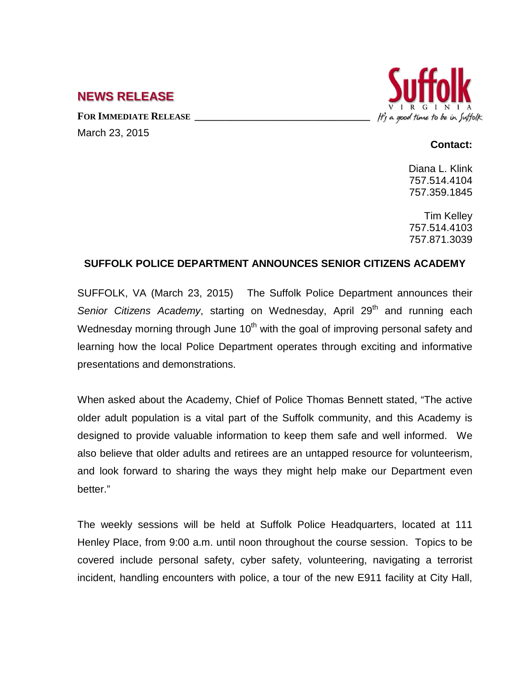## **NEWS RELEASE**

**FOR IMMEDIATE RELEASE \_\_\_\_\_\_\_\_\_\_\_\_\_\_\_\_\_\_\_\_\_\_\_\_\_\_\_\_\_\_\_\_\_\_** March 23, 2015



## **Contact:**

Diana L. Klink 757.514.4104 757.359.1845

Tim Kelley 757.514.4103 757.871.3039

## **SUFFOLK POLICE DEPARTMENT ANNOUNCES SENIOR CITIZENS ACADEMY**

SUFFOLK, VA (March 23, 2015) The Suffolk Police Department announces their *Senior Citizens Academy*, starting on Wednesday, April 29<sup>th</sup> and running each Wednesday morning through June  $10<sup>th</sup>$  with the goal of improving personal safety and learning how the local Police Department operates through exciting and informative presentations and demonstrations.

When asked about the Academy, Chief of Police Thomas Bennett stated, "The active older adult population is a vital part of the Suffolk community, and this Academy is designed to provide valuable information to keep them safe and well informed. We also believe that older adults and retirees are an untapped resource for volunteerism, and look forward to sharing the ways they might help make our Department even better."

The weekly sessions will be held at Suffolk Police Headquarters, located at 111 Henley Place, from 9:00 a.m. until noon throughout the course session. Topics to be covered include personal safety, cyber safety, volunteering, navigating a terrorist incident, handling encounters with police, a tour of the new E911 facility at City Hall,